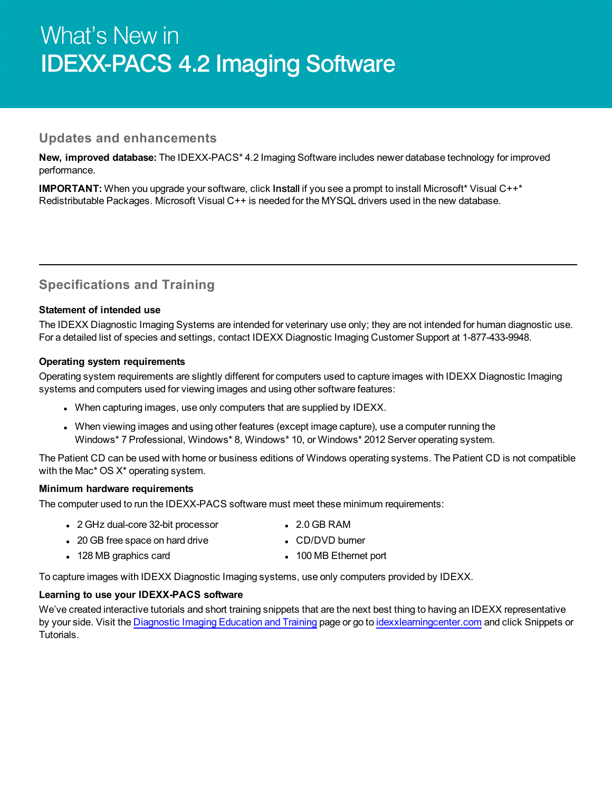# What's New in **IDEXX-PACS 4.2 Imaging Software**

## **Updates and enhancements**

**New, improved database:** The IDEXX-PACS\* 4.2 Imaging Software includes newer database technology for improved performance.

**IMPORTANT:** When you upgrade your software, click Install if you see a prompt to install Microsoft\* Visual C++\* Redistributable Packages. Microsoft Visual C++ is needed for the MYSQL drivers used in the new database.

# **Specifications and Training**

## **Statement of intended use**

The IDEXX Diagnostic Imaging Systems are intended for veterinary use only; they are not intended for human diagnostic use. For a detailed list of species and settings, contact IDEXX Diagnostic Imaging Customer Support at 1-877-433-9948.

#### **Operating system requirements**

Operating system requirements are slightly different for computers used to capture images with IDEXX Diagnostic Imaging systems and computers used for viewing images and using other software features:

- When capturing images, use only computers that are supplied by IDEXX.
- When viewing images and using other features (except image capture), use a computer running the Windows\* 7 Professional, Windows\* 8, Windows\* 10, or Windows\* 2012 Server operating system.

The Patient CD can be used with home or business editions of Windows operating systems. The Patient CD is not compatible with the Mac<sup>\*</sup> OS X<sup>\*</sup> operating system.

#### **Minimum hardware requirements**

The computer used to run the IDEXX-PACS software must meet these minimum requirements:

- 2 GHz dual-core 32-bit processor 2.0 GB RAM
- 20 GB free space on hard drive **lack of CD/DVD** burner
- 128 MB graphics card **a** 100 MB Ethernet port

To capture images with IDEXX Diagnostic Imaging systems, use only computers provided by IDEXX.

### **Learning to use your IDEXX-PACS software**

We've created interactive tutorials and short training snippets that are the next best thing to having an IDEXX representative by your side. Visit the [Diagnostic](https://www.idexx.com/small-animal-health/support/documents-and-resources/diagnostic-imaging-resources.html) Imaging Education and Training page or go to [idexxlearningcenter.com](http://idexxlearningcenter.com/) and click Snippets or **Tutorials**